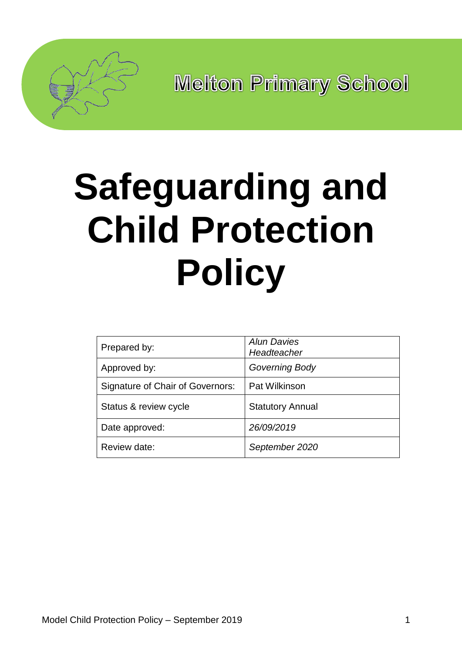

# **Safeguarding and Child Protection Policy**

| Prepared by:                     | <b>Alun Davies</b><br>Headteacher |
|----------------------------------|-----------------------------------|
| Approved by:                     | <b>Governing Body</b>             |
| Signature of Chair of Governors: | Pat Wilkinson                     |
| Status & review cycle            | <b>Statutory Annual</b>           |
| Date approved:                   | 26/09/2019                        |
| Review date:                     | September 2020                    |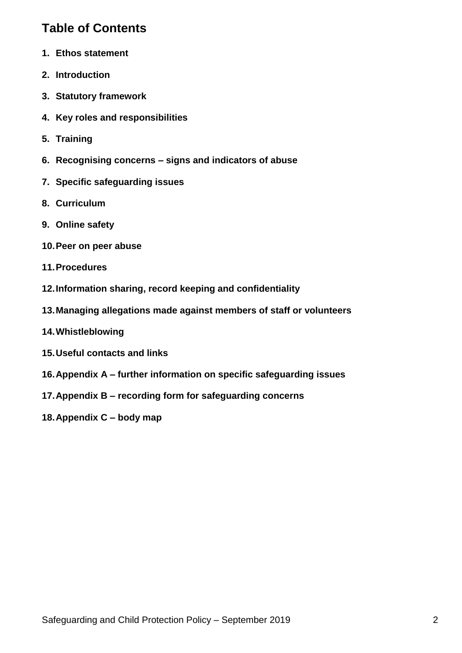# **Table of Contents**

- **1. Ethos statement**
- **2. Introduction**
- **3. Statutory framework**
- **4. Key roles and responsibilities**
- **5. Training**
- **6. Recognising concerns – signs and indicators of abuse**
- **7. Specific safeguarding issues**
- **8. Curriculum**
- **9. Online safety**
- **10.Peer on peer abuse**
- **11.Procedures**
- **12.Information sharing, record keeping and confidentiality**
- **13.Managing allegations made against members of staff or volunteers**
- **14.Whistleblowing**
- **15.Useful contacts and links**
- **16.Appendix A – further information on specific safeguarding issues**
- **17.Appendix B – recording form for safeguarding concerns**
- **18.Appendix C – body map**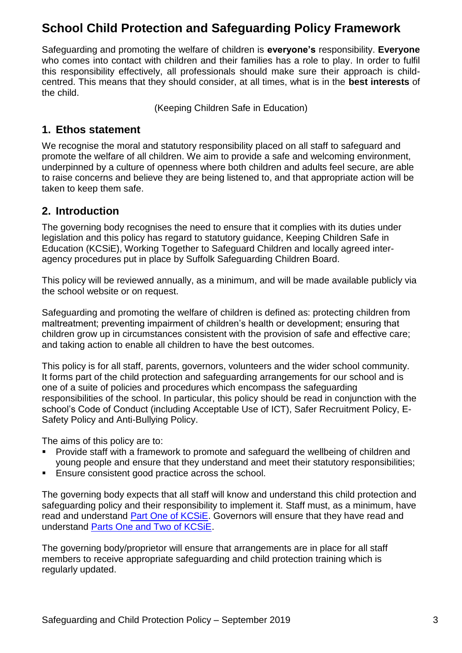# **School Child Protection and Safeguarding Policy Framework**

Safeguarding and promoting the welfare of children is **everyone's** responsibility. **Everyone** who comes into contact with children and their families has a role to play. In order to fulfil this responsibility effectively, all professionals should make sure their approach is childcentred. This means that they should consider, at all times, what is in the **best interests** of the child.

(Keeping Children Safe in Education)

#### **1. Ethos statement**

We recognise the moral and statutory responsibility placed on all staff to safeguard and promote the welfare of all children. We aim to provide a safe and welcoming environment, underpinned by a culture of openness where both children and adults feel secure, are able to raise concerns and believe they are being listened to, and that appropriate action will be taken to keep them safe.

#### **2. Introduction**

The governing body recognises the need to ensure that it complies with its duties under legislation and this policy has regard to statutory guidance, Keeping Children Safe in Education (KCSiE), Working Together to Safeguard Children and locally agreed interagency procedures put in place by Suffolk Safeguarding Children Board.

This policy will be reviewed annually, as a minimum, and will be made available publicly via the school website or on request.

Safeguarding and promoting the welfare of children is defined as: protecting children from maltreatment; preventing impairment of children's health or development; ensuring that children grow up in circumstances consistent with the provision of safe and effective care; and taking action to enable all children to have the best outcomes.

This policy is for all staff, parents, governors, volunteers and the wider school community. It forms part of the child protection and safeguarding arrangements for our school and is one of a suite of policies and procedures which encompass the safeguarding responsibilities of the school. In particular, this policy should be read in conjunction with the school's Code of Conduct (including Acceptable Use of ICT), Safer Recruitment Policy, E-Safety Policy and Anti-Bullying Policy.

The aims of this policy are to:

- Provide staff with a framework to promote and safeguard the wellbeing of children and young people and ensure that they understand and meet their statutory responsibilities;
- Ensure consistent good practice across the school.

The governing body expects that all staff will know and understand this child protection and safeguarding policy and their responsibility to implement it. Staff must, as a minimum, have read and understand [Part One of KCSiE.](https://www.gov.uk/government/publications/keeping-children-safe-in-education--2) Governors will ensure that they have read and understand [Parts One and Two of KCSiE.](https://www.gov.uk/government/publications/keeping-children-safe-in-education--2)

The governing body/proprietor will ensure that arrangements are in place for all staff members to receive appropriate safeguarding and child protection training which is regularly updated.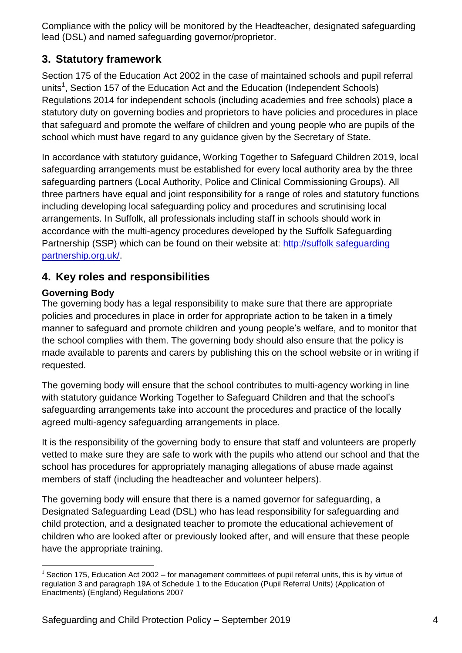Compliance with the policy will be monitored by the Headteacher, designated safeguarding lead (DSL) and named safeguarding governor/proprietor.

## **3. Statutory framework**

Section 175 of the Education Act 2002 in the case of maintained schools and pupil referral units<sup>1</sup>, Section 157 of the Education Act and the Education (Independent Schools) Regulations 2014 for independent schools (including academies and free schools) place a statutory duty on governing bodies and proprietors to have policies and procedures in place that safeguard and promote the welfare of children and young people who are pupils of the school which must have regard to any guidance given by the Secretary of State.

In accordance with statutory guidance, Working Together to Safeguard Children 2019, local safeguarding arrangements must be established for every local authority area by the three safeguarding partners (Local Authority, Police and Clinical Commissioning Groups). All three partners have equal and joint responsibility for a range of roles and statutory functions including developing local safeguarding policy and procedures and scrutinising local arrangements. In Suffolk, all professionals including staff in schools should work in accordance with the multi-agency procedures developed by the Suffolk Safeguarding Partnership (SSP) which can be found on their website at: http://suffolk safeguarding partnership.org.uk/.

## **4. Key roles and responsibilities**

#### **Governing Body**

The governing body has a legal responsibility to make sure that there are appropriate policies and procedures in place in order for appropriate action to be taken in a timely manner to safeguard and promote children and young people's welfare, and to monitor that the school complies with them. The governing body should also ensure that the policy is made available to parents and carers by publishing this on the school website or in writing if requested.

The governing body will ensure that the school contributes to multi-agency working in line with statutory guidance Working Together to Safeguard Children and that the school's safeguarding arrangements take into account the procedures and practice of the locally agreed multi-agency safeguarding arrangements in place.

It is the responsibility of the governing body to ensure that staff and volunteers are properly vetted to make sure they are safe to work with the pupils who attend our school and that the school has procedures for appropriately managing allegations of abuse made against members of staff (including the headteacher and volunteer helpers).

The governing body will ensure that there is a named governor for safeguarding, a Designated Safeguarding Lead (DSL) who has lead responsibility for safeguarding and child protection, and a designated teacher to promote the educational achievement of children who are looked after or previously looked after, and will ensure that these people have the appropriate training.

<sup>&</sup>lt;u>.</u> <sup>1</sup> Section 175, Education Act 2002 – for management committees of pupil referral units, this is by virtue of regulation 3 and paragraph 19A of Schedule 1 to the Education (Pupil Referral Units) (Application of Enactments) (England) Regulations 2007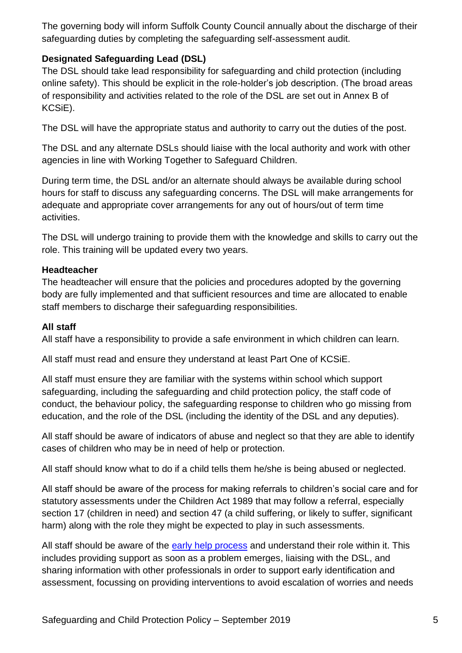The governing body will inform Suffolk County Council annually about the discharge of their safeguarding duties by completing the safeguarding self-assessment audit.

#### **Designated Safeguarding Lead (DSL)**

The DSL should take lead responsibility for safeguarding and child protection (including online safety). This should be explicit in the role-holder's job description. (The broad areas of responsibility and activities related to the role of the DSL are set out in Annex B of KCSiE).

The DSL will have the appropriate status and authority to carry out the duties of the post.

The DSL and any alternate DSLs should liaise with the local authority and work with other agencies in line with Working Together to Safeguard Children.

During term time, the DSL and/or an alternate should always be available during school hours for staff to discuss any safeguarding concerns. The DSL will make arrangements for adequate and appropriate cover arrangements for any out of hours/out of term time activities.

The DSL will undergo training to provide them with the knowledge and skills to carry out the role. This training will be updated every two years.

#### **Headteacher**

The headteacher will ensure that the policies and procedures adopted by the governing body are fully implemented and that sufficient resources and time are allocated to enable staff members to discharge their safeguarding responsibilities.

#### **All staff**

All staff have a responsibility to provide a safe environment in which children can learn.

All staff must read and ensure they understand at least Part One of KCSiE.

All staff must ensure they are familiar with the systems within school which support safeguarding, including the safeguarding and child protection policy, the staff code of conduct, the behaviour policy, the safeguarding response to children who go missing from education, and the role of the DSL (including the identity of the DSL and any deputies).

All staff should be aware of indicators of abuse and neglect so that they are able to identify cases of children who may be in need of help or protection.

All staff should know what to do if a child tells them he/she is being abused or neglected.

All staff should be aware of the process for making referrals to children's social care and for statutory assessments under the Children Act 1989 that may follow a referral, especially section 17 (children in need) and section 47 (a child suffering, or likely to suffer, significant harm) along with the role they might be expected to play in such assessments.

All staff should be aware of the [early help process](http://suffolkscb.org.uk/working-with-children/early-help/) and understand their role within it. This includes providing support as soon as a problem emerges, liaising with the DSL, and sharing information with other professionals in order to support early identification and assessment, focussing on providing interventions to avoid escalation of worries and needs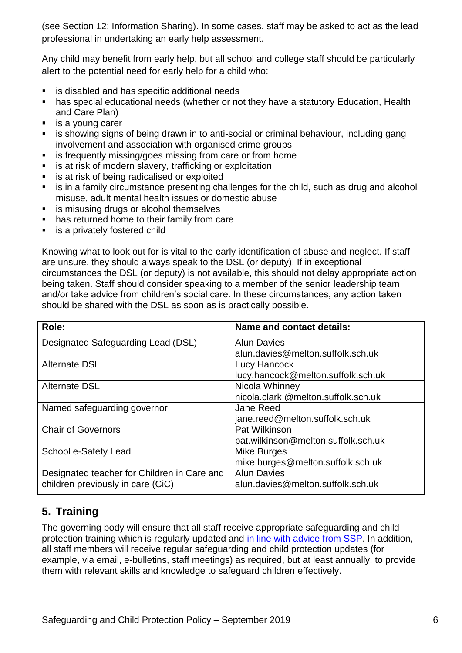(see Section 12: Information Sharing). In some cases, staff may be asked to act as the lead professional in undertaking an early help assessment.

Any child may benefit from early help, but all school and college staff should be particularly alert to the potential need for early help for a child who:

- is disabled and has specific additional needs
- has special educational needs (whether or not they have a statutory Education, Health and Care Plan)
- **is a young carer**
- is showing signs of being drawn in to anti-social or criminal behaviour, including gang involvement and association with organised crime groups
- **is frequently missing/goes missing from care or from home**
- is at risk of modern slavery, trafficking or exploitation
- is at risk of being radicalised or exploited
- is in a family circumstance presenting challenges for the child, such as drug and alcohol misuse, adult mental health issues or domestic abuse
- **EXECT** is misusing drugs or alcohol themselves
- has returned home to their family from care
- is a privately fostered child

Knowing what to look out for is vital to the early identification of abuse and neglect. If staff are unsure, they should always speak to the DSL (or deputy). If in exceptional circumstances the DSL (or deputy) is not available, this should not delay appropriate action being taken. Staff should consider speaking to a member of the senior leadership team and/or take advice from children's social care. In these circumstances, any action taken should be shared with the DSL as soon as is practically possible.

| Role:                                       | <b>Name and contact details:</b>    |
|---------------------------------------------|-------------------------------------|
| Designated Safeguarding Lead (DSL)          | <b>Alun Davies</b>                  |
|                                             | alun.davies@melton.suffolk.sch.uk   |
| <b>Alternate DSL</b>                        | Lucy Hancock                        |
|                                             | lucy.hancock@melton.suffolk.sch.uk  |
| <b>Alternate DSL</b>                        | Nicola Whinney                      |
|                                             | nicola.clark @melton.suffolk.sch.uk |
| Named safeguarding governor                 | Jane Reed                           |
|                                             | jane.reed@melton.suffolk.sch.uk     |
| <b>Chair of Governors</b>                   | Pat Wilkinson                       |
|                                             | pat.wilkinson@melton.suffolk.sch.uk |
| School e-Safety Lead                        | Mike Burges                         |
|                                             | mike.burges@melton.suffolk.sch.uk   |
| Designated teacher for Children in Care and | <b>Alun Davies</b>                  |
| children previously in care (CiC)           | alun.davies@melton.suffolk.sch.uk   |

## **5. Training**

The governing body will ensure that all staff receive appropriate safeguarding and child protection training which is regularly updated and [in line with advice from SSP.](http://suffolkscb.org.uk/working-with-children/education/) In addition, all staff members will receive regular safeguarding and child protection updates (for example, via email, e-bulletins, staff meetings) as required, but at least annually, to provide them with relevant skills and knowledge to safeguard children effectively.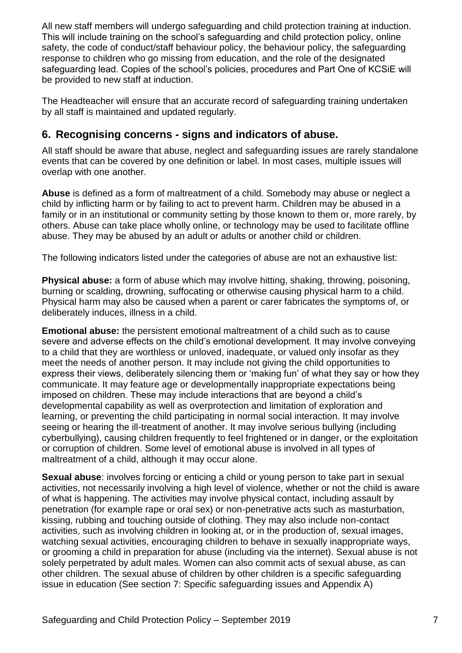All new staff members will undergo safeguarding and child protection training at induction. This will include training on the school's safeguarding and child protection policy, online safety, the code of conduct/staff behaviour policy, the behaviour policy, the safeguarding response to children who go missing from education, and the role of the designated safeguarding lead. Copies of the school's policies, procedures and Part One of KCSiE will be provided to new staff at induction.

The Headteacher will ensure that an accurate record of safeguarding training undertaken by all staff is maintained and updated regularly.

## **6. Recognising concerns - signs and indicators of abuse.**

All staff should be aware that abuse, neglect and safeguarding issues are rarely standalone events that can be covered by one definition or label. In most cases, multiple issues will overlap with one another.

**Abuse** is defined as a form of maltreatment of a child. Somebody may abuse or neglect a child by inflicting harm or by failing to act to prevent harm. Children may be abused in a family or in an institutional or community setting by those known to them or, more rarely, by others. Abuse can take place wholly online, or technology may be used to facilitate offline abuse. They may be abused by an adult or adults or another child or children.

The following indicators listed under the categories of abuse are not an exhaustive list:

**Physical abuse:** a form of abuse which may involve hitting, shaking, throwing, poisoning, burning or scalding, drowning, suffocating or otherwise causing physical harm to a child. Physical harm may also be caused when a parent or carer fabricates the symptoms of, or deliberately induces, illness in a child.

**Emotional abuse:** the persistent emotional maltreatment of a child such as to cause severe and adverse effects on the child's emotional development. It may involve conveying to a child that they are worthless or unloved, inadequate, or valued only insofar as they meet the needs of another person. It may include not giving the child opportunities to express their views, deliberately silencing them or 'making fun' of what they say or how they communicate. It may feature age or developmentally inappropriate expectations being imposed on children. These may include interactions that are beyond a child's developmental capability as well as overprotection and limitation of exploration and learning, or preventing the child participating in normal social interaction. It may involve seeing or hearing the ill-treatment of another. It may involve serious bullying (including cyberbullying), causing children frequently to feel frightened or in danger, or the exploitation or corruption of children. Some level of emotional abuse is involved in all types of maltreatment of a child, although it may occur alone.

**Sexual abuse:** involves forcing or enticing a child or young person to take part in sexual activities, not necessarily involving a high level of violence, whether or not the child is aware of what is happening. The activities may involve physical contact, including assault by penetration (for example rape or oral sex) or non-penetrative acts such as masturbation, kissing, rubbing and touching outside of clothing. They may also include non-contact activities, such as involving children in looking at, or in the production of, sexual images, watching sexual activities, encouraging children to behave in sexually inappropriate ways, or grooming a child in preparation for abuse (including via the internet). Sexual abuse is not solely perpetrated by adult males. Women can also commit acts of sexual abuse, as can other children. The sexual abuse of children by other children is a specific safeguarding issue in education (See section 7: Specific safeguarding issues and Appendix A)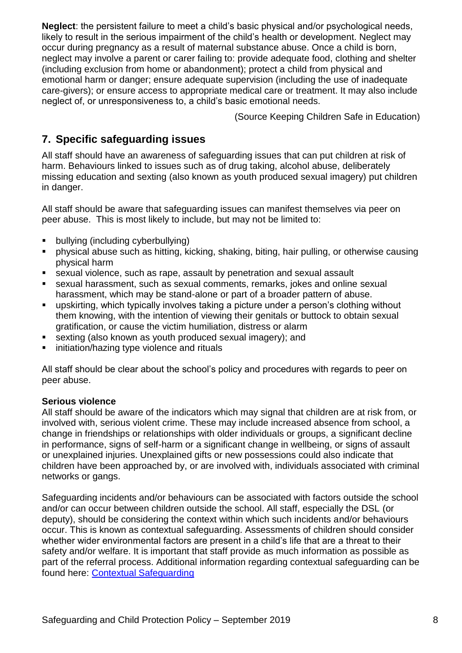**Neglect**: the persistent failure to meet a child's basic physical and/or psychological needs, likely to result in the serious impairment of the child's health or development. Neglect may occur during pregnancy as a result of maternal substance abuse. Once a child is born, neglect may involve a parent or carer failing to: provide adequate food, clothing and shelter (including exclusion from home or abandonment); protect a child from physical and emotional harm or danger; ensure adequate supervision (including the use of inadequate care-givers); or ensure access to appropriate medical care or treatment. It may also include neglect of, or unresponsiveness to, a child's basic emotional needs.

(Source Keeping Children Safe in Education)

## **7. Specific safeguarding issues**

All staff should have an awareness of safeguarding issues that can put children at risk of harm. Behaviours linked to issues such as of drug taking, alcohol abuse, deliberately missing education and sexting (also known as youth produced sexual imagery) put children in danger.

All staff should be aware that safeguarding issues can manifest themselves via peer on peer abuse. This is most likely to include, but may not be limited to:

- bullying (including cyberbullying)
- physical abuse such as hitting, kicking, shaking, biting, hair pulling, or otherwise causing physical harm
- sexual violence, such as rape, assault by penetration and sexual assault
- sexual harassment, such as sexual comments, remarks, jokes and online sexual harassment, which may be stand-alone or part of a broader pattern of abuse.
- upskirting, which typically involves taking a picture under a person's clothing without them knowing, with the intention of viewing their genitals or buttock to obtain sexual gratification, or cause the victim humiliation, distress or alarm
- sexting (also known as youth produced sexual imagery); and
- initiation/hazing type violence and rituals

All staff should be clear about the school's policy and procedures with regards to peer on peer abuse.

#### **Serious violence**

All staff should be aware of the indicators which may signal that children are at risk from, or involved with, serious violent crime. These may include increased absence from school, a change in friendships or relationships with older individuals or groups, a significant decline in performance, signs of self-harm or a significant change in wellbeing, or signs of assault or unexplained injuries. Unexplained gifts or new possessions could also indicate that children have been approached by, or are involved with, individuals associated with criminal networks or gangs.

Safeguarding incidents and/or behaviours can be associated with factors outside the school and/or can occur between children outside the school. All staff, especially the DSL (or deputy), should be considering the context within which such incidents and/or behaviours occur. This is known as contextual safeguarding. Assessments of children should consider whether wider environmental factors are present in a child's life that are a threat to their safety and/or welfare. It is important that staff provide as much information as possible as part of the referral process. Additional information regarding contextual safeguarding can be found here: [Contextual Safeguarding](https://contextualsafeguarding.org.uk/about/what-is-contextual-safeguarding)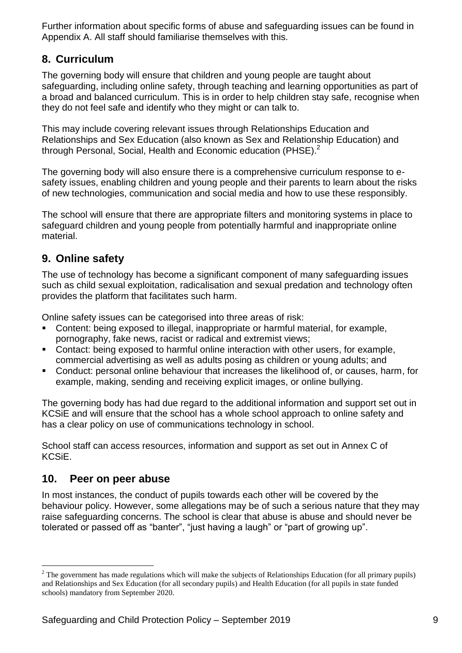Further information about specific forms of abuse and safeguarding issues can be found in Appendix A. All staff should familiarise themselves with this.

## **8. Curriculum**

The governing body will ensure that children and young people are taught about safeguarding, including online safety, through teaching and learning opportunities as part of a broad and balanced curriculum. This is in order to help children stay safe, recognise when they do not feel safe and identify who they might or can talk to.

This may include covering relevant issues through Relationships Education and Relationships and Sex Education (also known as Sex and Relationship Education) and through Personal, Social, Health and Economic education (PHSE).<sup>2</sup>

The governing body will also ensure there is a comprehensive curriculum response to esafety issues, enabling children and young people and their parents to learn about the risks of new technologies, communication and social media and how to use these responsibly.

The school will ensure that there are appropriate filters and monitoring systems in place to safeguard children and young people from potentially harmful and inappropriate online material.

## **9. Online safety**

The use of technology has become a significant component of many safeguarding issues such as child sexual exploitation, radicalisation and sexual predation and technology often provides the platform that facilitates such harm.

Online safety issues can be categorised into three areas of risk:

- Content: being exposed to illegal, inappropriate or harmful material, for example, pornography, fake news, racist or radical and extremist views;
- Contact: being exposed to harmful online interaction with other users, for example, commercial advertising as well as adults posing as children or young adults; and
- Conduct: personal online behaviour that increases the likelihood of, or causes, harm, for example, making, sending and receiving explicit images, or online bullying.

The governing body has had due regard to the additional information and support set out in KCSiE and will ensure that the school has a whole school approach to online safety and has a clear policy on use of communications technology in school.

School staff can access resources, information and support as set out in Annex C of KCSiE.

## **10. Peer on peer abuse**

<u>.</u>

In most instances, the conduct of pupils towards each other will be covered by the behaviour policy. However, some allegations may be of such a serious nature that they may raise safeguarding concerns. The school is clear that abuse is abuse and should never be tolerated or passed off as "banter", "just having a laugh" or "part of growing up".

<sup>&</sup>lt;sup>2</sup> The government has made regulations which will make the subjects of Relationships Education (for all primary pupils) and Relationships and Sex Education (for all secondary pupils) and Health Education (for all pupils in state funded schools) mandatory from September 2020.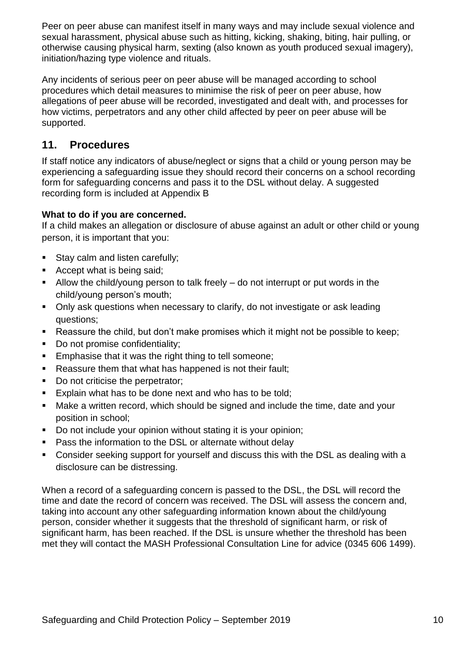Peer on peer abuse can manifest itself in many ways and may include sexual violence and sexual harassment, physical abuse such as hitting, kicking, shaking, biting, hair pulling, or otherwise causing physical harm, sexting (also known as youth produced sexual imagery), initiation/hazing type violence and rituals.

Any incidents of serious peer on peer abuse will be managed according to school procedures which detail measures to minimise the risk of peer on peer abuse, how allegations of peer abuse will be recorded, investigated and dealt with, and processes for how victims, perpetrators and any other child affected by peer on peer abuse will be supported.

## **11. Procedures**

If staff notice any indicators of abuse/neglect or signs that a child or young person may be experiencing a safeguarding issue they should record their concerns on a school recording form for safeguarding concerns and pass it to the DSL without delay. A suggested recording form is included at Appendix B

#### **What to do if you are concerned.**

If a child makes an allegation or disclosure of abuse against an adult or other child or young person, it is important that you:

- Stay calm and listen carefully;
- Accept what is being said;
- Allow the child/young person to talk freely  $-$  do not interrupt or put words in the child/young person's mouth;
- Only ask questions when necessary to clarify, do not investigate or ask leading questions;
- Reassure the child, but don't make promises which it might not be possible to keep;
- Do not promise confidentiality:
- **Emphasise that it was the right thing to tell someone:**
- Reassure them that what has happened is not their fault;
- Do not criticise the perpetrator;
- **Explain what has to be done next and who has to be told;**
- Make a written record, which should be signed and include the time, date and your position in school;
- Do not include your opinion without stating it is your opinion:
- Pass the information to the DSL or alternate without delay
- Consider seeking support for yourself and discuss this with the DSL as dealing with a disclosure can be distressing.

When a record of a safeguarding concern is passed to the DSL, the DSL will record the time and date the record of concern was received. The DSL will assess the concern and, taking into account any other safeguarding information known about the child/young person, consider whether it suggests that the threshold of significant harm, or risk of significant harm, has been reached. If the DSL is unsure whether the threshold has been met they will contact the MASH Professional Consultation Line for advice (0345 606 1499).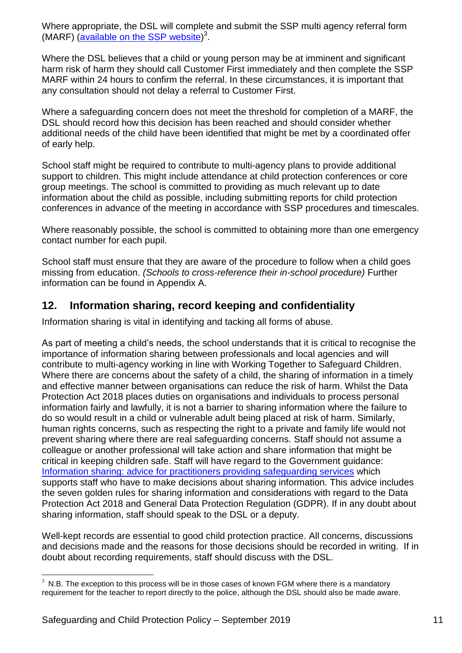Where appropriate, the DSL will complete and submit the SSP multi agency referral form (MARF) [\(available on the SSP](http://suffolkscb.org.uk/working-with-children/how-to-make-a-referral/) website)<sup>3</sup>.

Where the DSL believes that a child or young person may be at imminent and significant harm risk of harm they should call Customer First immediately and then complete the SSP MARF within 24 hours to confirm the referral. In these circumstances, it is important that any consultation should not delay a referral to Customer First.

Where a safeguarding concern does not meet the threshold for completion of a MARF, the DSL should record how this decision has been reached and should consider whether additional needs of the child have been identified that might be met by a coordinated offer of early help.

School staff might be required to contribute to multi-agency plans to provide additional support to children. This might include attendance at child protection conferences or core group meetings. The school is committed to providing as much relevant up to date information about the child as possible, including submitting reports for child protection conferences in advance of the meeting in accordance with SSP procedures and timescales.

Where reasonably possible, the school is committed to obtaining more than one emergency contact number for each pupil.

School staff must ensure that they are aware of the procedure to follow when a child goes missing from education. *(Schools to cross-reference their in-school procedure)* Further information can be found in Appendix A.

## **12. Information sharing, record keeping and confidentiality**

Information sharing is vital in identifying and tacking all forms of abuse.

As part of meeting a child's needs, the school understands that it is critical to recognise the importance of information sharing between professionals and local agencies and will contribute to multi-agency working in line with Working Together to Safeguard Children. Where there are concerns about the safety of a child, the sharing of information in a timely and effective manner between organisations can reduce the risk of harm. Whilst the Data Protection Act 2018 places duties on organisations and individuals to process personal information fairly and lawfully, it is not a barrier to sharing information where the failure to do so would result in a child or vulnerable adult being placed at risk of harm. Similarly, human rights concerns, such as respecting the right to a private and family life would not prevent sharing where there are real safeguarding concerns. Staff should not assume a colleague or another professional will take action and share information that might be critical in keeping children safe. Staff will have regard to the Government guidance: [Information sharing: advice for practitioners providing safeguarding services](http://suffolkscb.org.uk/working-with-children/how-to-make-a-referral/) which supports staff who have to make decisions about sharing information. This advice includes the seven golden rules for sharing information and considerations with regard to the Data Protection Act 2018 and General Data Protection Regulation (GDPR). If in any doubt about sharing information, staff should speak to the DSL or a deputy.

Well-kept records are essential to good child protection practice. All concerns, discussions and decisions made and the reasons for those decisions should be recorded in writing. If in doubt about recording requirements, staff should discuss with the DSL.

1

 $3$  N.B. The exception to this process will be in those cases of known FGM where there is a mandatory requirement for the teacher to report directly to the police, although the DSL should also be made aware.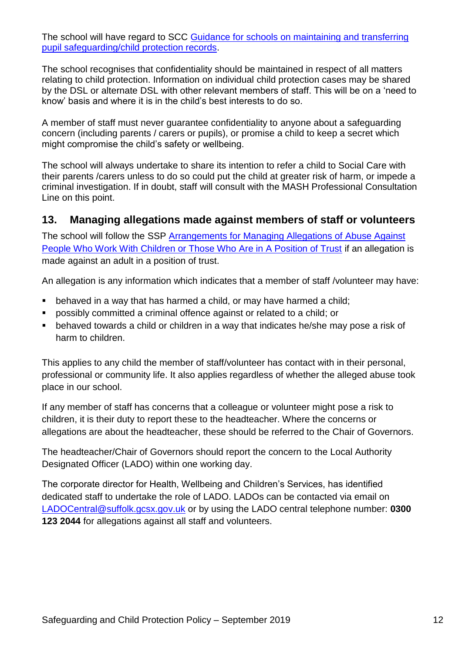The school will have regard to SCC [Guidance for schools on maintaining and transferring](http://suffolkscb.org.uk/assets/Working-with-Children/Education/SCC-Guidance-for-schools-on-maintaining-pupil-safeguarding.pdf)  [pupil safeguarding/child protection records.](http://suffolkscb.org.uk/assets/Working-with-Children/Education/SCC-Guidance-for-schools-on-maintaining-pupil-safeguarding.pdf)

The school recognises that confidentiality should be maintained in respect of all matters relating to child protection. Information on individual child protection cases may be shared by the DSL or alternate DSL with other relevant members of staff. This will be on a 'need to know' basis and where it is in the child's best interests to do so.

A member of staff must never guarantee confidentiality to anyone about a safeguarding concern (including parents / carers or pupils), or promise a child to keep a secret which might compromise the child's safety or wellbeing.

The school will always undertake to share its intention to refer a child to Social Care with their parents /carers unless to do so could put the child at greater risk of harm, or impede a criminal investigation. If in doubt, staff will consult with the MASH Professional Consultation Line on this point.

#### **13. Managing allegations made against members of staff or volunteers**

The school will follow the SSP [Arrangements for Managing Allegations of Abuse Against](http://suffolkscb.org.uk/assets/Working-with-Children/How-to-Make-a-Referral/2016-11-01-Managing-Allegations-of-Abuse-v7.pdf)  [People Who Work With Children or Those Who Are in A Position of Trust](http://suffolkscb.org.uk/assets/Working-with-Children/How-to-Make-a-Referral/2016-11-01-Managing-Allegations-of-Abuse-v7.pdf) if an allegation is made against an adult in a position of trust.

An allegation is any information which indicates that a member of staff /volunteer may have:

- **•** behaved in a way that has harmed a child, or may have harmed a child;
- possibly committed a criminal offence against or related to a child; or
- behaved towards a child or children in a way that indicates he/she may pose a risk of harm to children.

This applies to any child the member of staff/volunteer has contact with in their personal, professional or community life. It also applies regardless of whether the alleged abuse took place in our school.

If any member of staff has concerns that a colleague or volunteer might pose a risk to children, it is their duty to report these to the headteacher. Where the concerns or allegations are about the headteacher, these should be referred to the Chair of Governors.

The headteacher/Chair of Governors should report the concern to the Local Authority Designated Officer (LADO) within one working day.

The corporate director for Health, Wellbeing and Children's Services, has identified dedicated staff to undertake the role of LADO. LADOs can be contacted via email on [LADOCentral@suffolk.gcsx.gov.uk](mailto:LADOCentral@suffolk.gcsx.gov.uk) or by using the LADO central telephone number: **0300 123 2044** for allegations against all staff and volunteers.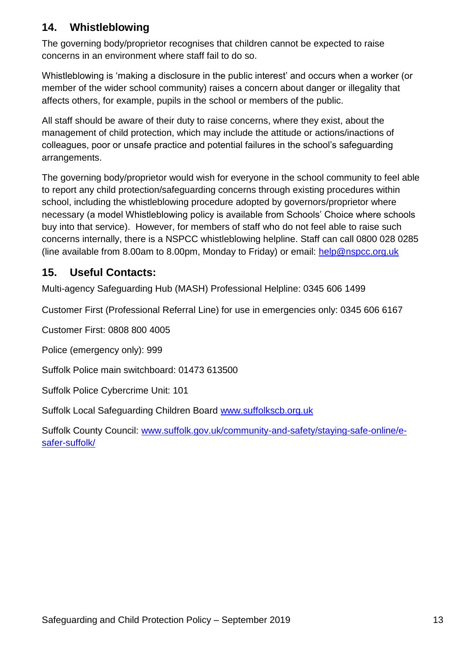## **14. Whistleblowing**

The governing body/proprietor recognises that children cannot be expected to raise concerns in an environment where staff fail to do so.

Whistleblowing is 'making a disclosure in the public interest' and occurs when a worker (or member of the wider school community) raises a concern about danger or illegality that affects others, for example, pupils in the school or members of the public.

All staff should be aware of their duty to raise concerns, where they exist, about the management of child protection, which may include the attitude or actions/inactions of colleagues, poor or unsafe practice and potential failures in the school's safeguarding arrangements.

The governing body/proprietor would wish for everyone in the school community to feel able to report any child protection/safeguarding concerns through existing procedures within school, including the whistleblowing procedure adopted by governors/proprietor where necessary (a model Whistleblowing policy is available from Schools' Choice where schools buy into that service). However, for members of staff who do not feel able to raise such concerns internally, there is a NSPCC whistleblowing helpline. Staff can call 0800 028 0285 (line available from 8.00am to 8.00pm, Monday to Friday) or email: [help@nspcc.org.uk](mailto:help@nspcc.org.uk)

## **15. Useful Contacts:**

Multi-agency Safeguarding Hub (MASH) Professional Helpline: 0345 606 [1499](tel:00443456061499)

Customer First (Professional Referral Line) for use in emergencies only: [0345](tel:00443456066167) 606 6167

Customer First: 0808 800 4005

Police (emergency only): 999

Suffolk Police main switchboard: 01473 613500

Suffolk Police Cybercrime Unit: 101

Suffolk Local Safeguarding Children Board [www.suffolkscb.org.uk](http://www.suffolkscb.org.uk/)

Suffolk County Council: [www.suffolk.gov.uk/community-and-safety/staying-safe-online/e](http://www.suffolk.gov.uk/community-and-safety/staying-safe-online/e-safer-suffolk/)[safer-suffolk/](http://www.suffolk.gov.uk/community-and-safety/staying-safe-online/e-safer-suffolk/)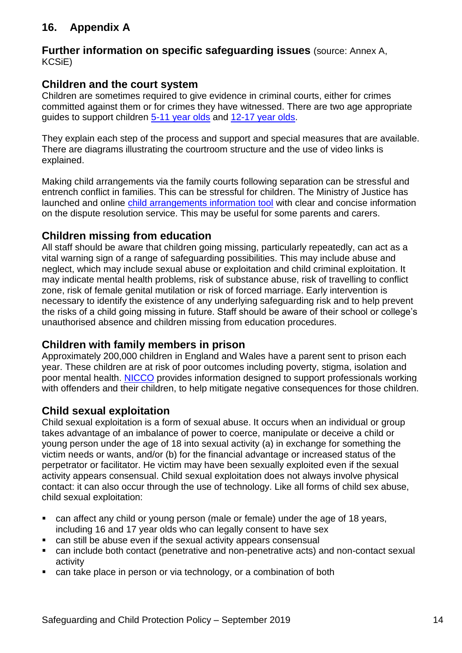# **16. Appendix A**

#### **Further information on specific safeguarding issues** (source: Annex A, KCSiE)

## **Children and the court system**

Children are sometimes required to give evidence in criminal courts, either for crimes committed against them or for crimes they have witnessed. There are two age appropriate guides to support children [5-11 year olds](https://www.gov.uk/government/publications/young-witness-booklet-for-5-to-11-year-olds) and [12-17 year olds.](https://www.gov.uk/government/publications/young-witness-booklet-for-12-to-17-year-olds)

They explain each step of the process and support and special measures that are available. There are diagrams illustrating the courtroom structure and the use of video links is explained.

Making child arrangements via the family courts following separation can be stressful and entrench conflict in families. This can be stressful for children. The Ministry of Justice has launched and online [child arrangements information tool](http://www.nationalcrimeagency.gov.uk/about-us/what-we-do/specialist-capabilities/uk-human-trafficking-centre/national-referral-mechanism) with clear and concise information on the dispute resolution service. This may be useful for some parents and carers.

## **Children missing from education**

All staff should be aware that children going missing, particularly repeatedly, can act as a vital warning sign of a range of safeguarding possibilities. This may include abuse and neglect, which may include sexual abuse or exploitation and child criminal exploitation. It may indicate mental health problems, risk of substance abuse, risk of travelling to conflict zone, risk of female genital mutilation or risk of forced marriage. Early intervention is necessary to identify the existence of any underlying safeguarding risk and to help prevent the risks of a child going missing in future. Staff should be aware of their school or college's unauthorised absence and children missing from education procedures.

#### **Children with family members in prison**

Approximately 200,000 children in England and Wales have a parent sent to prison each year. These children are at risk of poor outcomes including poverty, stigma, isolation and poor mental health. [NICCO](http://www.nationalcrimeagency.gov.uk/about-us/what-we-do/specialist-capabilities/uk-human-trafficking-centre/national-referral-mechanism) provides information designed to support professionals working with offenders and their children, to help mitigate negative consequences for those children.

## **Child sexual exploitation**

Child sexual exploitation is a form of sexual abuse. It occurs when an individual or group takes advantage of an imbalance of power to coerce, manipulate or deceive a child or young person under the age of 18 into sexual activity (a) in exchange for something the victim needs or wants, and/or (b) for the financial advantage or increased status of the perpetrator or facilitator. He victim may have been sexually exploited even if the sexual activity appears consensual. Child sexual exploitation does not always involve physical contact: it can also occur through the use of technology. Like all forms of child sex abuse, child sexual exploitation:

- can affect any child or young person (male or female) under the age of 18 years, including 16 and 17 year olds who can legally consent to have sex
- can still be abuse even if the sexual activity appears consensual
- can include both contact (penetrative and non-penetrative acts) and non-contact sexual activity
- can take place in person or via technology, or a combination of both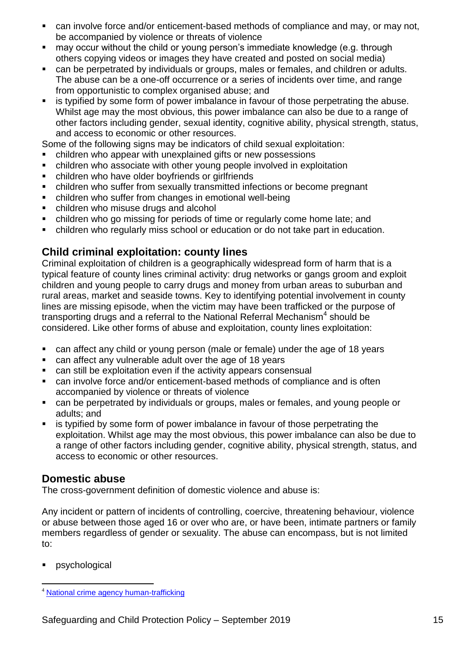- can involve force and/or enticement-based methods of compliance and may, or may not, be accompanied by violence or threats of violence
- may occur without the child or young person's immediate knowledge (e.g. through others copying videos or images they have created and posted on social media)
- can be perpetrated by individuals or groups, males or females, and children or adults. The abuse can be a one-off occurrence or a series of incidents over time, and range from opportunistic to complex organised abuse; and
- is typified by some form of power imbalance in favour of those perpetrating the abuse. Whilst age may the most obvious, this power imbalance can also be due to a range of other factors including gender, sexual identity, cognitive ability, physical strength, status, and access to economic or other resources.

Some of the following signs may be indicators of child sexual exploitation:

- children who appear with unexplained gifts or new possessions
- children who associate with other young people involved in exploitation
- children who have older boyfriends or girlfriends
- children who suffer from sexually transmitted infections or become pregnant
- children who suffer from changes in emotional well-being
- children who misuse drugs and alcohol
- children who go missing for periods of time or regularly come home late; and
- children who regularly miss school or education or do not take part in education.

## **Child criminal exploitation: county lines**

Criminal exploitation of children is a geographically widespread form of harm that is a typical feature of county lines criminal activity: drug networks or gangs groom and exploit children and young people to carry drugs and money from urban areas to suburban and rural areas, market and seaside towns. Key to identifying potential involvement in county lines are missing episode, when the victim may have been trafficked or the purpose of transporting drugs and a referral to the National Referral Mechanism<sup>4</sup> should be considered. Like other forms of abuse and exploitation, county lines exploitation:

- can affect any child or young person (male or female) under the age of 18 years
- can affect any vulnerable adult over the age of 18 years
- can still be exploitation even if the activity appears consensual
- can involve force and/or enticement-based methods of compliance and is often accompanied by violence or threats of violence
- can be perpetrated by individuals or groups, males or females, and young people or adults; and
- is typified by some form of power imbalance in favour of those perpetrating the exploitation. Whilst age may the most obvious, this power imbalance can also be due to a range of other factors including gender, cognitive ability, physical strength, status, and access to economic or other resources.

#### **Domestic abuse**

The cross-government definition of domestic violence and abuse is:

Any incident or pattern of incidents of controlling, coercive, threatening behaviour, violence or abuse between those aged 16 or over who are, or have been, intimate partners or family members regardless of gender or sexuality. The abuse can encompass, but is not limited to:

psychological

<sup>1</sup> <sup>4</sup> [National crime agency human-trafficking](http://www.nationalcrimeagency.gov.uk/about-us/what-we-do/specialist-capabilities/uk-human-trafficking-centre/national-referral-mechanism)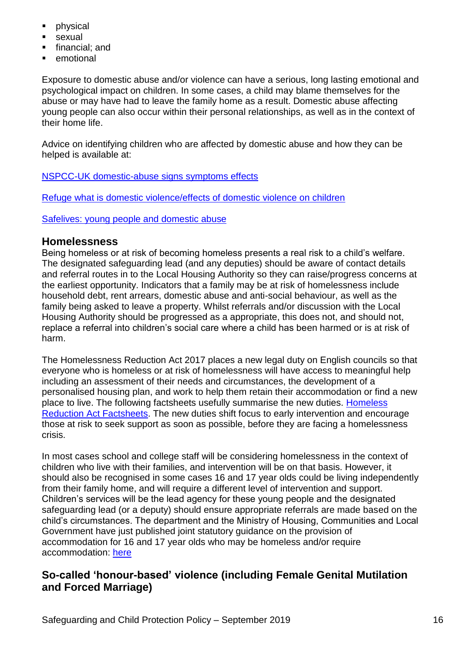- physical
- sexual
- financial; and
- emotional

Exposure to domestic abuse and/or violence can have a serious, long lasting emotional and psychological impact on children. In some cases, a child may blame themselves for the abuse or may have had to leave the family home as a result. Domestic abuse affecting young people can also occur within their personal relationships, as well as in the context of their home life.

Advice on identifying children who are affected by domestic abuse and how they can be helped is available at:

[NSPCC-UK domestic-abuse signs symptoms effects](https://www.nspcc.org.uk/preventing-abuse/child-abuse-and-neglect/domestic-abuse/signs-symptoms-effects/)

[Refuge what is domestic violence/effects of domestic violence on children](http://www.refuge.org.uk/get-help-now/support-for-women/what-about-my-children/)

[Safelives: young people and domestic abuse](http://www.safelives.org.uk/knowledge-hub/spotlights/spotlight-3-young-people-and-domestic-abuse)

#### **Homelessness**

Being homeless or at risk of becoming homeless presents a real risk to a child's welfare. The designated safeguarding lead (and any deputies) should be aware of contact details and referral routes in to the Local Housing Authority so they can raise/progress concerns at the earliest opportunity. Indicators that a family may be at risk of homelessness include household debt, rent arrears, domestic abuse and anti-social behaviour, as well as the family being asked to leave a property. Whilst referrals and/or discussion with the Local Housing Authority should be progressed as a appropriate, this does not, and should not, replace a referral into children's social care where a child has been harmed or is at risk of harm.

The Homelessness Reduction Act 2017 places a new legal duty on English councils so that everyone who is homeless or at risk of homelessness will have access to meaningful help including an assessment of their needs and circumstances, the development of a personalised housing plan, and work to help them retain their accommodation or find a new place to live. The following factsheets usefully summarise the new duties. [Homeless](https://www.gov.uk/government/publications/homelessness-reduction-bill-policy-factsheets)  [Reduction Act Factsheets.](https://www.gov.uk/government/publications/homelessness-reduction-bill-policy-factsheets) The new duties shift focus to early intervention and encourage those at risk to seek support as soon as possible, before they are facing a homelessness crisis.

In most cases school and college staff will be considering homelessness in the context of children who live with their families, and intervention will be on that basis. However, it should also be recognised in some cases 16 and 17 year olds could be living independently from their family home, and will require a different level of intervention and support. Children's services will be the lead agency for these young people and the designated safeguarding lead (or a deputy) should ensure appropriate referrals are made based on the child's circumstances. The department and the Ministry of Housing, Communities and Local Government have just published joint statutory guidance on the provision of accommodation for 16 and 17 year olds who may be homeless and/or require accommodation: [here](https://www.gov.uk/government/publications/homelessness-reduction-bill-policy-factsheets)

## **So-called 'honour-based' violence (including Female Genital Mutilation and Forced Marriage)**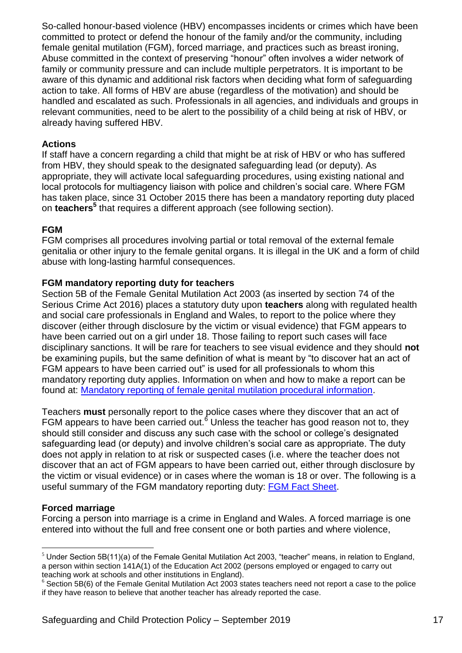So-called honour-based violence (HBV) encompasses incidents or crimes which have been committed to protect or defend the honour of the family and/or the community, including female genital mutilation (FGM), forced marriage, and practices such as breast ironing, Abuse committed in the context of preserving "honour" often involves a wider network of family or community pressure and can include multiple perpetrators. It is important to be aware of this dynamic and additional risk factors when deciding what form of safeguarding action to take. All forms of HBV are abuse (regardless of the motivation) and should be handled and escalated as such. Professionals in all agencies, and individuals and groups in relevant communities, need to be alert to the possibility of a child being at risk of HBV, or already having suffered HBV.

#### **Actions**

If staff have a concern regarding a child that might be at risk of HBV or who has suffered from HBV, they should speak to the designated safeguarding lead (or deputy). As appropriate, they will activate local safeguarding procedures, using existing national and local protocols for multiagency liaison with police and children's social care. Where FGM has taken place, since 31 October 2015 there has been a mandatory reporting duty placed on **teachers<sup>5</sup>** that requires a different approach (see following section).

#### **FGM**

FGM comprises all procedures involving partial or total removal of the external female genitalia or other injury to the female genital organs. It is illegal in the UK and a form of child abuse with long-lasting harmful consequences.

#### **FGM mandatory reporting duty for teachers**

Section 5B of the Female Genital Mutilation Act 2003 (as inserted by section 74 of the Serious Crime Act 2016) places a statutory duty upon **teachers** along with regulated health and social care professionals in England and Wales, to report to the police where they discover (either through disclosure by the victim or visual evidence) that FGM appears to have been carried out on a girl under 18. Those failing to report such cases will face disciplinary sanctions. It will be rare for teachers to see visual evidence and they should **not** be examining pupils, but the same definition of what is meant by "to discover hat an act of FGM appears to have been carried out" is used for all professionals to whom this mandatory reporting duty applies. Information on when and how to make a report can be found at: [Mandatory reporting of female genital mutilation procedural information.](https://www.gov.uk/government/publications/mandatory-reporting-of-female-genital-mutilation-procedural-information)

Teachers **must** personally report to the police cases where they discover that an act of FGM appears to have been carried out.<sup>6</sup> Unless the teacher has good reason not to, they should still consider and discuss any such case with the school or college's designated safeguarding lead (or deputy) and involve children's social care as appropriate. The duty does not apply in relation to at risk or suspected cases (i.e. where the teacher does not discover that an act of FGM appears to have been carried out, either through disclosure by the victim or visual evidence) or in cases where the woman is 18 or over. The following is a useful summary of the FGM mandatory reporting duty: [FGM Fact Sheet.](https://assets.publishing.service.gov.uk/government/uploads/system/uploads/attachment_data/file/496415/6_1639_HO_SP_FGM_mandatory_reporting_Fact_sheet_Web.pdf)

#### **Forced marriage**

1

Forcing a person into marriage is a crime in England and Wales. A forced marriage is one entered into without the full and free consent one or both parties and where violence,

 $<sup>5</sup>$  Under Section 5B(11)(a) of the Female Genital Mutilation Act 2003, "teacher" means, in relation to England,</sup> a person within section 141A(1) of the Education Act 2002 (persons employed or engaged to carry out teaching work at schools and other institutions in England).

 $6$  Section 5B(6) of the Female Genital Mutilation Act 2003 states teachers need not report a case to the police if they have reason to believe that another teacher has already reported the case.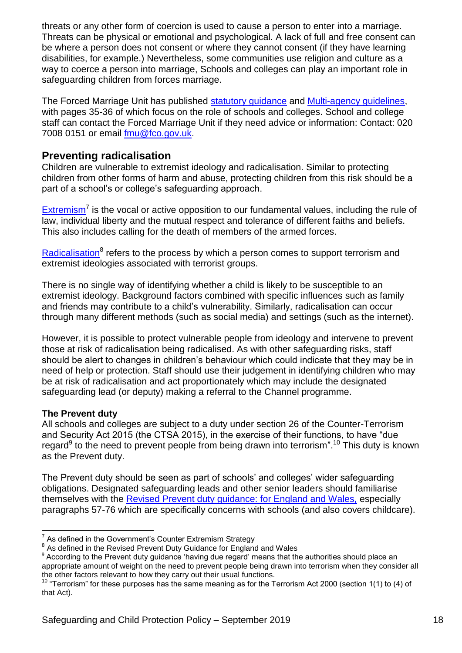threats or any other form of coercion is used to cause a person to enter into a marriage. Threats can be physical or emotional and psychological. A lack of full and free consent can be where a person does not consent or where they cannot consent (if they have learning disabilities, for example.) Nevertheless, some communities use religion and culture as a way to coerce a person into marriage, Schools and colleges can play an important role in safeguarding children from forces marriage.

The Forced Marriage Unit has published [statutory guidance](https://assets.publishing.service.gov.uk/government/uploads/system/uploads/attachment_data/file/322310/HMG_Statutory_Guidance_publication_180614_Final.pdf) and [Multi-agency guidelines,](https://assets.publishing.service.gov.uk/government/uploads/system/uploads/attachment_data/file/322307/HMG_MULTI_AGENCY_PRACTICE_GUIDELINES_v1_180614_FINAL.pdf) with pages 35-36 of which focus on the role of schools and colleges. School and college staff can contact the Forced Marriage Unit if they need advice or information: Contact: 020 7008 0151 or email [fmu@fco.gov.uk.](mailto:fmu@fco.gov.uk)

## **Preventing radicalisation**

Children are vulnerable to extremist ideology and radicalisation. Similar to protecting children from other forms of harm and abuse, protecting children from this risk should be a part of a school's or college's safeguarding approach.

[Extremism](https://assets.publishing.service.gov.uk/government/uploads/system/uploads/attachment_data/file/470088/51859_Cm9148_Accessible.pdf)<sup>7</sup> is the vocal or active opposition to our fundamental values, including the rule of law, individual liberty and the mutual respect and tolerance of different faiths and beliefs. This also includes calling for the death of members of the armed forces.

[Radicalisation](https://assets.publishing.service.gov.uk/government/uploads/system/uploads/attachment_data/file/445977/3799_Revised_Prevent_Duty_Guidance__England_Wales_V2-Interactive.pdf)<sup>8</sup> refers to the process by which a person comes to support terrorism and extremist ideologies associated with terrorist groups.

There is no single way of identifying whether a child is likely to be susceptible to an extremist ideology. Background factors combined with specific influences such as family and friends may contribute to a child's vulnerability. Similarly, radicalisation can occur through many different methods (such as social media) and settings (such as the internet).

However, it is possible to protect vulnerable people from ideology and intervene to prevent those at risk of radicalisation being radicalised. As with other safeguarding risks, staff should be alert to changes in children's behaviour which could indicate that they may be in need of help or protection. Staff should use their judgement in identifying children who may be at risk of radicalisation and act proportionately which may include the designated safeguarding lead (or deputy) making a referral to the Channel programme.

#### **The Prevent duty**

All schools and colleges are subject to a duty under section 26 of the Counter-Terrorism and Security Act 2015 (the CTSA 2015), in the exercise of their functions, to have "due regard $9$  to the need to prevent people from being drawn into terrorism".<sup>10</sup> This duty is known as the Prevent duty.

The Prevent duty should be seen as part of schools' and colleges' wider safeguarding obligations. Designated safeguarding leads and other senior leaders should familiarise themselves with the [Revised Prevent duty guidance: for England and Wales,](https://www.gov.uk/government/publications/prevent-duty-guidance) especially paragraphs 57-76 which are specifically concerns with schools (and also covers childcare).

<sup>1</sup>  $7$  As defined in the Government's Counter Extremism Strategy

<sup>&</sup>lt;sup>8</sup> As defined in the Revised Prevent Duty Guidance for England and Wales

<sup>&</sup>lt;sup>9</sup> According to the Prevent duty guidance 'having due regard' means that the authorities should place an appropriate amount of weight on the need to prevent people being drawn into terrorism when they consider all the other factors relevant to how they carry out their usual functions.

<sup>&</sup>lt;sup>10</sup> "Terrorism" for these purposes has the same meaning as for the Terrorism Act 2000 (section 1(1) to (4) of that Act).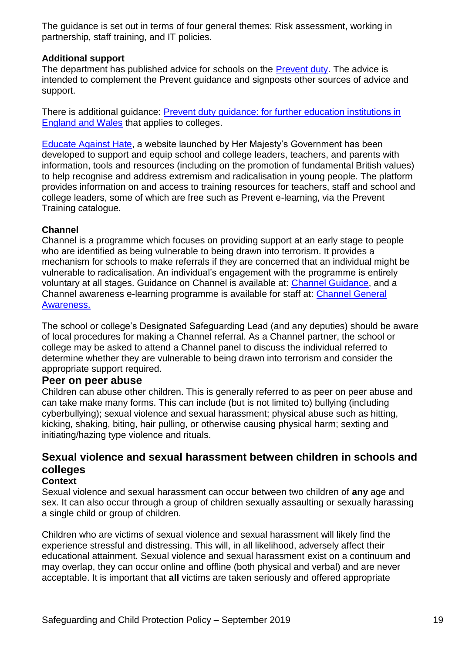The guidance is set out in terms of four general themes: Risk assessment, working in partnership, staff training, and IT policies.

#### **Additional support**

The department has published advice for schools on the [Prevent duty.](https://www.gov.uk/government/publications/protecting-children-from-radicalisation-the-prevent-duty) The advice is intended to complement the Prevent guidance and signposts other sources of advice and support.

There is additional guidance: [Prevent duty guidance: for further education institutions in](https://www.gov.uk/government/publications/prevent-duty-guidance)  [England and Wales](https://www.gov.uk/government/publications/prevent-duty-guidance) that applies to colleges.

[Educate Against Hate,](https://educateagainsthate.com/) a website launched by Her Majesty's Government has been developed to support and equip school and college leaders, teachers, and parents with information, tools and resources (including on the promotion of fundamental British values) to help recognise and address extremism and radicalisation in young people. The platform provides information on and access to training resources for teachers, staff and school and college leaders, some of which are free such as Prevent e-learning, via the Prevent Training catalogue.

#### **Channel**

Channel is a programme which focuses on providing support at an early stage to people who are identified as being vulnerable to being drawn into terrorism. It provides a mechanism for schools to make referrals if they are concerned that an individual might be vulnerable to radicalisation. An individual's engagement with the programme is entirely voluntary at all stages. Guidance on Channel is available at: [Channel Guidance,](https://www.gov.uk/government/publications/channel-guidance) and a Channel awareness e-learning programme is available for staff at: [Channel General](http://course.ncalt.com/Channel_General_Awareness/01/index.html)  [Awareness.](http://course.ncalt.com/Channel_General_Awareness/01/index.html)

The school or college's Designated Safeguarding Lead (and any deputies) should be aware of local procedures for making a Channel referral. As a Channel partner, the school or college may be asked to attend a Channel panel to discuss the individual referred to determine whether they are vulnerable to being drawn into terrorism and consider the appropriate support required.

#### **Peer on peer abuse**

Children can abuse other children. This is generally referred to as peer on peer abuse and can take make many forms. This can include (but is not limited to) bullying (including cyberbullying); sexual violence and sexual harassment; physical abuse such as hitting, kicking, shaking, biting, hair pulling, or otherwise causing physical harm; sexting and initiating/hazing type violence and rituals.

## **Sexual violence and sexual harassment between children in schools and colleges**

#### **Context**

Sexual violence and sexual harassment can occur between two children of **any** age and sex. It can also occur through a group of children sexually assaulting or sexually harassing a single child or group of children.

Children who are victims of sexual violence and sexual harassment will likely find the experience stressful and distressing. This will, in all likelihood, adversely affect their educational attainment. Sexual violence and sexual harassment exist on a continuum and may overlap, they can occur online and offline (both physical and verbal) and are never acceptable. It is important that **all** victims are taken seriously and offered appropriate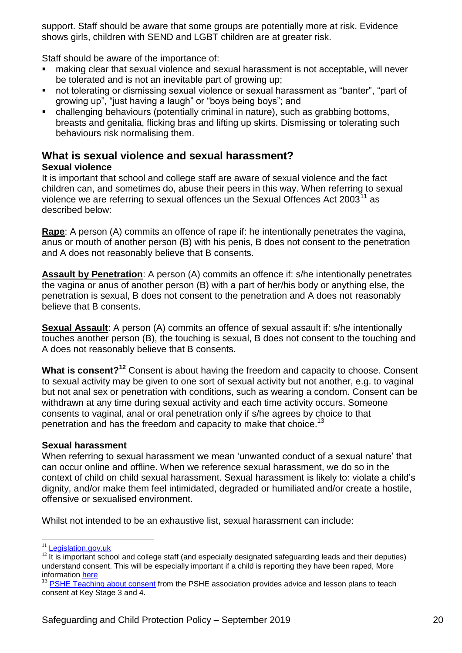support. Staff should be aware that some groups are potentially more at risk. Evidence shows girls, children with SEND and LGBT children are at greater risk.

Staff should be aware of the importance of:

- making clear that sexual violence and sexual harassment is not acceptable, will never be tolerated and is not an inevitable part of growing up;
- not tolerating or dismissing sexual violence or sexual harassment as "banter", "part of growing up", "just having a laugh" or "boys being boys"; and
- challenging behaviours (potentially criminal in nature), such as grabbing bottoms, breasts and genitalia, flicking bras and lifting up skirts. Dismissing or tolerating such behaviours risk normalising them.

## **What is sexual violence and sexual harassment?**

#### **Sexual violence**

It is important that school and college staff are aware of sexual violence and the fact children can, and sometimes do, abuse their peers in this way. When referring to sexual violence we are referring to sexual offences un the Sexual Offences Act  $2003<sup>11</sup>$  as described below:

**Rape**: A person (A) commits an offence of rape if: he intentionally penetrates the vagina, anus or mouth of another person (B) with his penis, B does not consent to the penetration and A does not reasonably believe that B consents.

**Assault by Penetration**: A person (A) commits an offence if: s/he intentionally penetrates the vagina or anus of another person (B) with a part of her/his body or anything else, the penetration is sexual, B does not consent to the penetration and A does not reasonably believe that B consents.

**Sexual Assault:** A person (A) commits an offence of sexual assault if: s/he intentionally touches another person (B), the touching is sexual, B does not consent to the touching and A does not reasonably believe that B consents.

**What is consent?<sup>12</sup>** Consent is about having the freedom and capacity to choose. Consent to sexual activity may be given to one sort of sexual activity but not another, e.g. to vaginal but not anal sex or penetration with conditions, such as wearing a condom. Consent can be withdrawn at any time during sexual activity and each time activity occurs. Someone consents to vaginal, anal or oral penetration only if s/he agrees by choice to that penetration and has the freedom and capacity to make that choice.<sup>13</sup>

#### **Sexual harassment**

When referring to sexual harassment we mean 'unwanted conduct of a sexual nature' that can occur online and offline. When we reference sexual harassment, we do so in the context of child on child sexual harassment. Sexual harassment is likely to: violate a child's dignity, and/or make them feel intimidated, degraded or humiliated and/or create a hostile, offensive or sexualised environment.

Whilst not intended to be an exhaustive list, sexual harassment can include:

<u>.</u>

<sup>&</sup>lt;sup>11</sup> [Legislation.gov.uk](https://www.legislation.gov.uk/ukpga/2003/42/contents)

 $12$  It is important school and college staff (and especially designated safeguarding leads and their deputies) understand consent. This will be especially important if a child is reporting they have been raped, More information [here](https://www.disrespectnobody.co.uk/consent/what-is-consent/)

<sup>&</sup>lt;sup>13</sup> [PSHE Teaching about consent](https://www.pshe-association.org.uk/curriculum-and-resources/resources/guidance-teaching-about-consent-pshe-education-key) from the PSHE association provides advice and lesson plans to teach consent at Key Stage 3 and 4.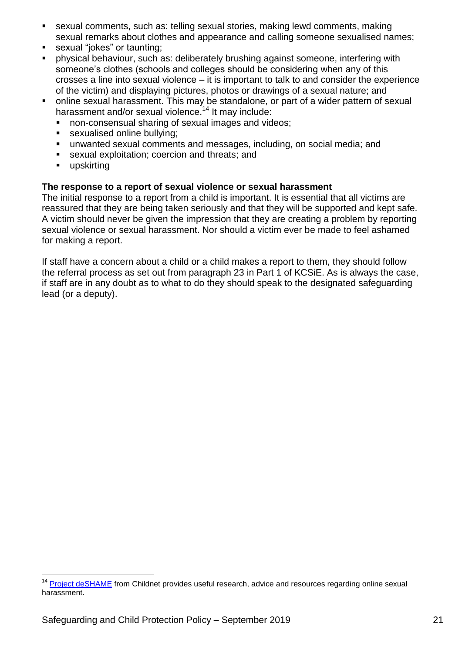- sexual comments, such as: telling sexual stories, making lewd comments, making sexual remarks about clothes and appearance and calling someone sexualised names;
- sexual "jokes" or taunting;
- physical behaviour, such as: deliberately brushing against someone, interfering with someone's clothes (schools and colleges should be considering when any of this crosses a line into sexual violence – it is important to talk to and consider the experience of the victim) and displaying pictures, photos or drawings of a sexual nature; and
- online sexual harassment. This may be standalone, or part of a wider pattern of sexual harassment and/or sexual violence.<sup>14</sup> It may include:
	- non-consensual sharing of sexual images and videos;
	- sexualised online bullying;
	- unwanted sexual comments and messages, including, on social media; and
	- sexual exploitation; coercion and threats; and
	- **upskirting**

1

#### **The response to a report of sexual violence or sexual harassment**

The initial response to a report from a child is important. It is essential that all victims are reassured that they are being taken seriously and that they will be supported and kept safe. A victim should never be given the impression that they are creating a problem by reporting sexual violence or sexual harassment. Nor should a victim ever be made to feel ashamed for making a report.

If staff have a concern about a child or a child makes a report to them, they should follow the referral process as set out from paragraph 23 in Part 1 of KCSiE. As is always the case, if staff are in any doubt as to what to do they should speak to the designated safeguarding lead (or a deputy).

<sup>&</sup>lt;sup>14</sup> Project deS**HAME** from Childnet provides useful research, advice and resources regarding online sexual harassment.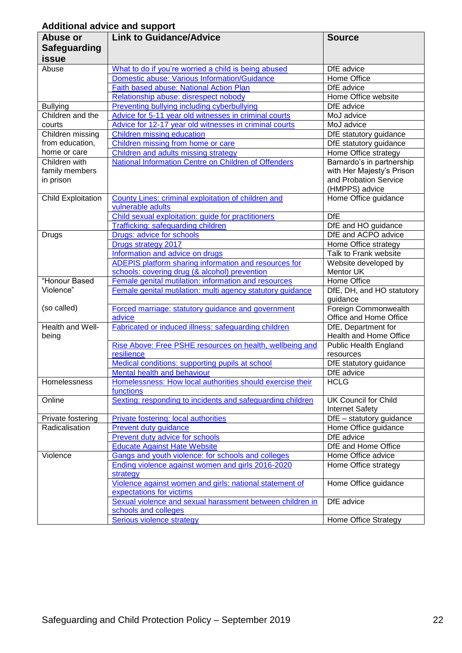## **Additional advice and support**

| Abuse or                  | <b>Link to Guidance/Advice</b>                             | <b>Source</b>                         |
|---------------------------|------------------------------------------------------------|---------------------------------------|
|                           |                                                            |                                       |
| <b>Safeguarding</b>       |                                                            |                                       |
| issue                     |                                                            |                                       |
| Abuse                     | What to do if you're worried a child is being abused       | DfE advice                            |
|                           | Domestic abuse: Various Information/Guidance               | Home Office                           |
|                           | Faith based abuse: National Action Plan                    | DfE advice                            |
|                           | Relationship abuse: disrespect nobody                      | Home Office website                   |
| <b>Bullying</b>           | <b>Preventing bullying including cyberbullying</b>         | DfE advice                            |
| Children and the          | Advice for 5-11 year old witnesses in criminal courts      | MoJ advice                            |
| courts                    | Advice for 12-17 year old witnesses in criminal courts     | MoJ advice                            |
| Children missing          | Children missing education                                 | DfE statutory guidance                |
| from education,           | Children missing from home or care                         | DfE statutory guidance                |
| home or care              | Children and adults missing strategy                       | Home Office strategy                  |
| Children with             | National Information Centre on Children of Offenders       | Barnardo's in partnership             |
| family members            |                                                            | with Her Majesty's Prison             |
| in prison                 |                                                            | and Probation Service                 |
|                           |                                                            | (HMPPS) advice                        |
| <b>Child Exploitation</b> | County Lines: criminal exploitation of children and        | Home Office guidance                  |
|                           | vulnerable adults                                          |                                       |
|                           | Child sexual exploitation: guide for practitioners         | <b>DfE</b>                            |
|                           | <b>Trafficking: safeguarding children</b>                  | DfE and HO guidance                   |
| Drugs                     | Drugs: advice for schools                                  | DfE and ACPO advice                   |
|                           | Drugs strategy 2017                                        | Home Office strategy                  |
|                           | Information and advice on drugs                            | Talk to Frank website                 |
|                           | ADEPIS platform sharing information and resources for      | Website developed by                  |
|                           | schools: covering drug (& alcohol) prevention              | Mentor UK                             |
| "Honour Based             | Female genital mutilation: information and resources       | Home Office                           |
| Violence"                 | Female genital mutilation: multi agency statutory guidance | DfE, DH, and HO statutory             |
|                           |                                                            | guidance                              |
| (so called)               | Forced marriage: statutory guidance and government         | Foreign Commonwealth                  |
|                           | advice                                                     | Office and Home Office                |
| Health and Well-          | Fabricated or induced illness: safeguarding children       | DfE, Department for                   |
| being                     |                                                            | Health and Home Office                |
|                           | Rise Above: Free PSHE resources on health, wellbeing and   | <b>Public Health England</b>          |
|                           | resilience                                                 | resources                             |
|                           | Medical conditions: supporting pupils at school            | DfE statutory guidance                |
|                           | Mental health and behaviour                                | DfE advice                            |
| Homelessness              | Homelessness: How local authorities should exercise their  | <b>HCLG</b>                           |
|                           | functions                                                  |                                       |
| Online                    | Sexting: responding to incidents and safeguarding children | UK Council for Child                  |
|                           |                                                            | <b>Internet Safety</b>                |
| Private fostering         | Private fostering: local authorities                       | $\overline{DfE}$ – statutory guidance |
| Radicalisation            | Prevent duty guidance                                      | Home Office guidance                  |
|                           | <b>Prevent duty advice for schools</b>                     | DfE advice                            |
|                           | <b>Educate Against Hate Website</b>                        | DfE and Home Office                   |
| Violence                  | Gangs and youth violence: for schools and colleges         | Home Office advice                    |
|                           | Ending violence against women and girls 2016-2020          | Home Office strategy                  |
|                           | strategy                                                   |                                       |
|                           | Violence against women and girls: national statement of    | Home Office guidance                  |
|                           | expectations for victims                                   |                                       |
|                           | Sexual violence and sexual harassment between children in  | DfE advice                            |
|                           | schools and colleges                                       |                                       |
|                           | <b>Serious violence strategy</b>                           | Home Office Strategy                  |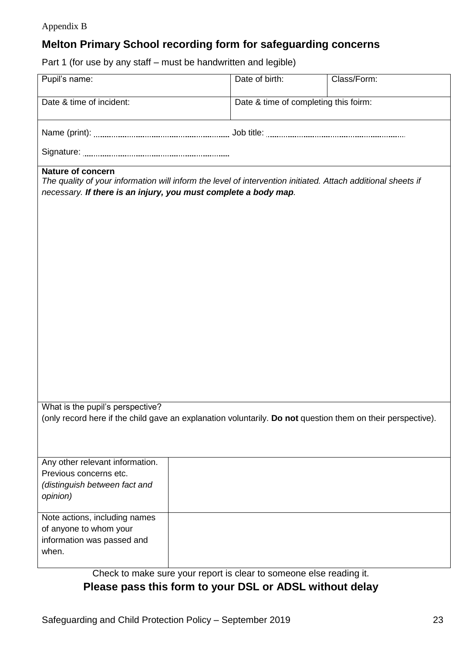#### Appendix B

# **Melton Primary School recording form for safeguarding concerns**

Part 1 (for use by any staff – must be handwritten and legible)

| Pupil's name:                                                                                                                                                                                               | Date of birth:                                                      | Class/Form: |  |
|-------------------------------------------------------------------------------------------------------------------------------------------------------------------------------------------------------------|---------------------------------------------------------------------|-------------|--|
| Date & time of incident:                                                                                                                                                                                    | Date & time of completing this foirm:                               |             |  |
|                                                                                                                                                                                                             |                                                                     |             |  |
|                                                                                                                                                                                                             |                                                                     |             |  |
| <b>Nature of concern</b><br>The quality of your information will inform the level of intervention initiated. Attach additional sheets if<br>necessary. If there is an injury, you must complete a body map. |                                                                     |             |  |
|                                                                                                                                                                                                             |                                                                     |             |  |
|                                                                                                                                                                                                             |                                                                     |             |  |
|                                                                                                                                                                                                             |                                                                     |             |  |
|                                                                                                                                                                                                             |                                                                     |             |  |
|                                                                                                                                                                                                             |                                                                     |             |  |
|                                                                                                                                                                                                             |                                                                     |             |  |
|                                                                                                                                                                                                             |                                                                     |             |  |
| What is the pupil's perspective?<br>(only record here if the child gave an explanation voluntarily. Do not question them on their perspective).                                                             |                                                                     |             |  |
|                                                                                                                                                                                                             |                                                                     |             |  |
| Any other relevant information.<br>Previous concerns etc.                                                                                                                                                   |                                                                     |             |  |
| (distinguish between fact and<br>opinion)                                                                                                                                                                   |                                                                     |             |  |
| Note actions, including names<br>of anyone to whom your                                                                                                                                                     |                                                                     |             |  |
| information was passed and<br>when.                                                                                                                                                                         |                                                                     |             |  |
|                                                                                                                                                                                                             | Check to make sure your report is clear to someone else reading it. |             |  |

Check to make sure your report is clear to someone else reading it. **Please pass this form to your DSL or ADSL without delay**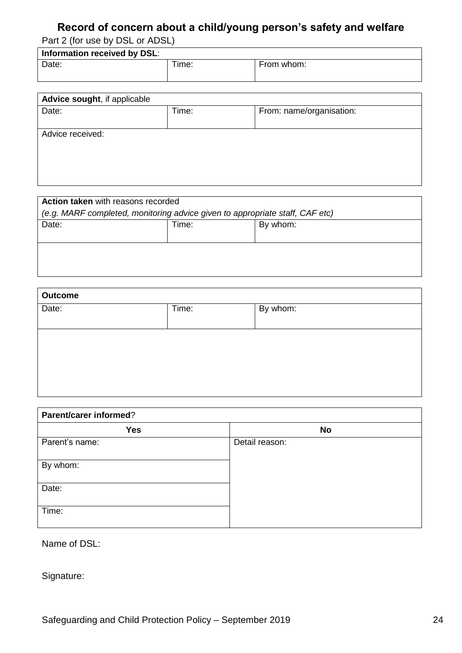# **Record of concern about a child/young person's safety and welfare**

Part 2 (for use by DSL or ADSL)

| Information received by DSL: |       |            |
|------------------------------|-------|------------|
| Date:                        | Time: | From whom: |

| Advice sought, if applicable |       |                          |
|------------------------------|-------|--------------------------|
| Date:                        | Time: | From: name/organisation: |
| Advice received:             |       |                          |

| Action taken with reasons recorded                                           |       |          |  |
|------------------------------------------------------------------------------|-------|----------|--|
| (e.g. MARF completed, monitoring advice given to appropriate staff, CAF etc) |       |          |  |
| Date:                                                                        | Time: | By whom: |  |
|                                                                              |       |          |  |
|                                                                              |       |          |  |
|                                                                              |       |          |  |
|                                                                              |       |          |  |

| <b>Outcome</b> |       |          |
|----------------|-------|----------|
| Date:          | Time: | By whom: |
|                |       |          |
|                |       |          |
|                |       |          |
|                |       |          |
|                |       |          |
|                |       |          |

| Parent/carer informed? |                |  |
|------------------------|----------------|--|
| <b>Yes</b>             | <b>No</b>      |  |
| Parent's name:         | Detail reason: |  |
| By whom:               |                |  |
| Date:                  |                |  |
| Time:                  |                |  |

Name of DSL:

Signature: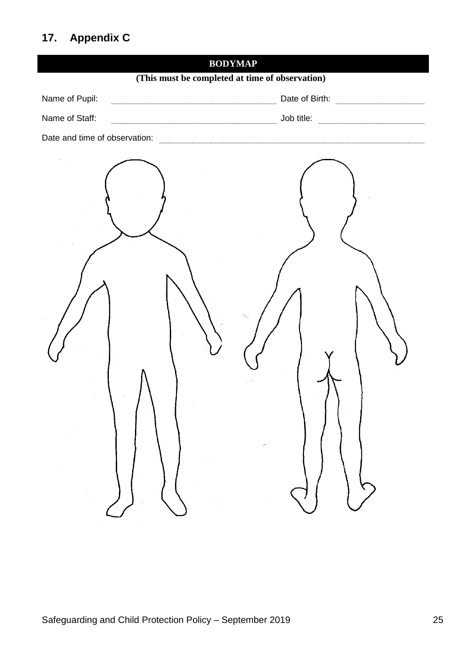# **17. Appendix C**

| <b>BODYMAP</b>                                       |  |
|------------------------------------------------------|--|
| (This must be completed at time of observation)      |  |
| Name of Pupil:<br>Date of Birth:                     |  |
| Name of Staff:                                       |  |
| Date and time of observation:                        |  |
| $\sim$<br>$\bar{z}$<br>$\mathcal{C}^{\mathcal{C}}$ : |  |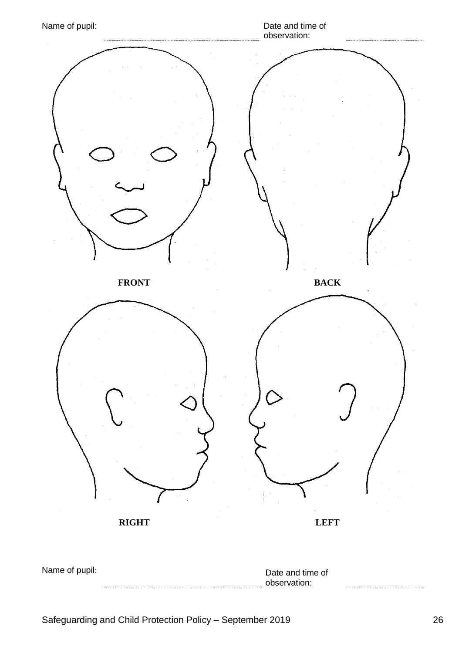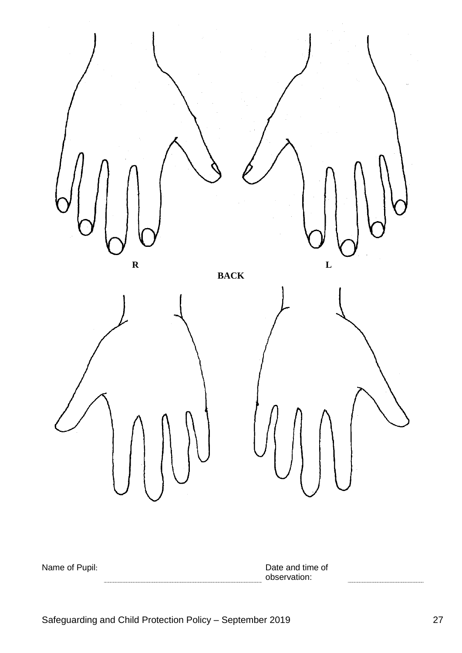